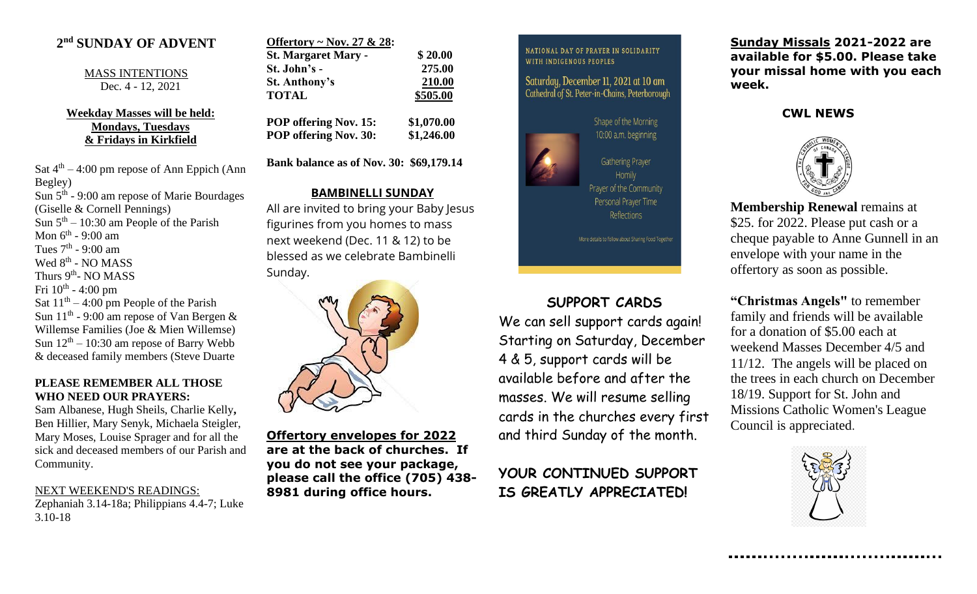## **2 nd SUNDAY OF ADVENT**

MASS INTENTIONS Dec. 4 - 12, 2021

**Weekday Masses will be held: Mondays, Tuesdays & Fridays in Kirkfield**

Sat  $4<sup>th</sup> - 4:00$  pm repose of Ann Eppich (Ann Begley) Sun 5<sup>th</sup> - 9:00 am repose of Marie Bourdages (Giselle & Cornell Pennings) Sun  $5<sup>th</sup> - 10:30$  am People of the Parish Mon 6<sup>th</sup> - 9:00 am Tues  $7<sup>th</sup>$  - 9:00 am Wed 8<sup>th</sup> - NO MASS Thurs 9<sup>th</sup>- NO MASS Fri  $10^{\text{th}}$  - 4:00 pm Sat  $11<sup>th</sup> - 4:00$  pm People of the Parish Sun  $11<sup>th</sup>$  - 9:00 am repose of Van Bergen & Willemse Families (Joe & Mien Willemse) Sun  $12<sup>th</sup> - 10:30$  am repose of Barry Webb & deceased family members (Steve Duarte

#### **PLEASE REMEMBER ALL THOSE WHO NEED OUR PRAYERS:**

Sam Albanese, Hugh Sheils, Charlie Kelly**,**  Ben Hillier, Mary Senyk, Michaela Steigler, Mary Moses, Louise Sprager and for all the sick and deceased members of our Parish and Community.

# NEXT WEEKEND'S READINGS:

Zephaniah 3.14-18a; Philippians 4.4-7; Luke 3.10-18

| Offertory ~ Nov. 27 & 28:    |            |
|------------------------------|------------|
| <b>St. Margaret Mary -</b>   | \$20.00    |
| St. John's -                 | 275.00     |
| <b>St. Anthony's</b>         | 210.00     |
| <b>TOTAL</b>                 | \$505.00   |
| <b>POP offering Nov. 15:</b> | \$1,070.00 |

**POP offering Nov. 30: \$1,246.00**

**Bank balance as of Nov. 30: \$69,179.14**

### **BAMBINELLI SUNDAY**

All are invited to bring your Baby Jesus figurines from you homes to mass next weekend (Dec. 11 & 12) to be blessed as we celebrate Bambinelli Sunday.



**Offertory envelopes for 2022 are at the back of churches. If you do not see your package, please call the office (705) 438- 8981 during office hours.**

NATIONAL DAY OF PRAYER IN SOLIDARITY WITH INDIGENOUS PEOPLES

Saturday, December 11, 2021 at 10 am Cathedral of St. Peter-in-Chains, Peterborough



# **SUPPORT CARDS**

We can sell support cards again! Starting on Saturday, December 4 & 5, support cards will be available before and after the masses. We will resume selling cards in the churches every first and third Sunday of the month.

**YOUR CONTINUED SUPPORT IS GREATLY APPRECIATED!**

**Sunday Missals 2021-2022 are available for \$5.00. Please take your missal home with you each week.**

### **CWL NEWS**



**Membership Renewal** remains at \$25. for 2022. Please put cash or a cheque payable to Anne Gunnell in an envelope with your name in the offertory as soon as possible.

**"Christmas Angels"** to remember family and friends will be available for a donation of \$5.00 each at weekend Masses December 4/5 and 11/12. The angels will be placed on the trees in each church on December 18/19. Support for St. John and Missions Catholic Women's League Council is appreciated.

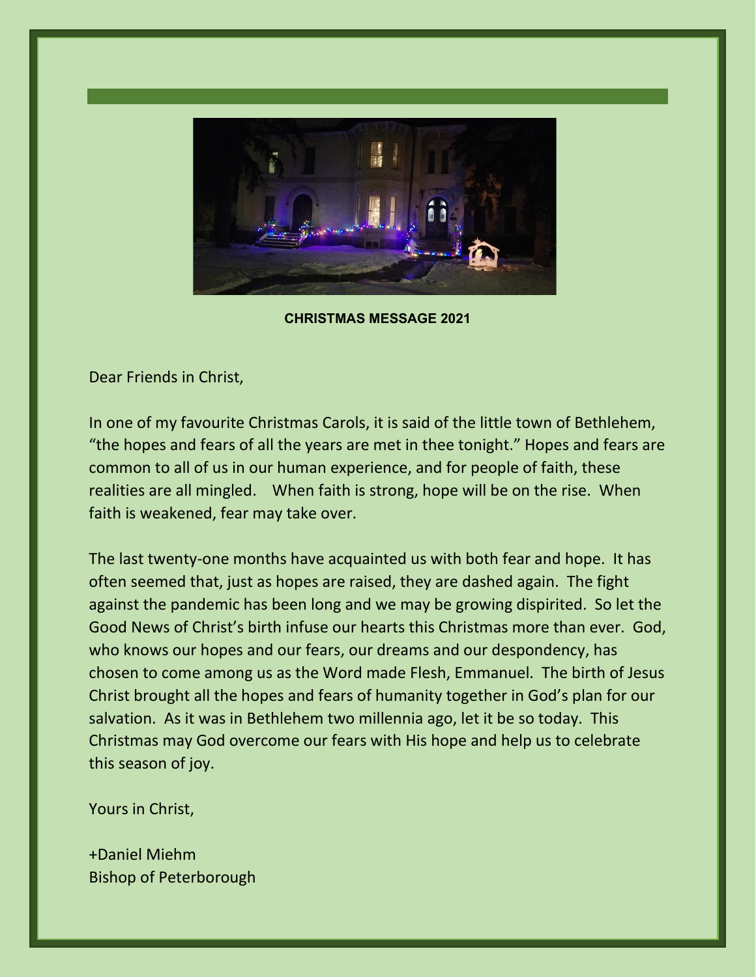

**CHRISTMAS MESSAGE 2021**

Dear Friends in Christ,

In one of my favourite Christmas Carols, it is said of the little town of Bethlehem, "the hopes and fears of all the years are met in thee tonight." Hopes and fears are common to all of us in our human experience, and for people of faith, these realities are all mingled. When faith is strong, hope will be on the rise. When faith is weakened, fear may take over.

The last twenty-one months have acquainted us with both fear and hope. It has often seemed that, just as hopes are raised, they are dashed again. The fight against the pandemic has been long and we may be growing dispirited. So let the Good News of Christ's birth infuse our hearts this Christmas more than ever. God, who knows our hopes and our fears, our dreams and our despondency, has chosen to come among us as the Word made Flesh, Emmanuel. The birth of Jesus Christ brought all the hopes and fears of humanity together in God's plan for our salvation. As it was in Bethlehem two millennia ago, let it be so today. This Christmas may God overcome our fears with His hope and help us to celebrate this season of joy.

Yours in Christ,

+Daniel Miehm Bishop of Peterborough